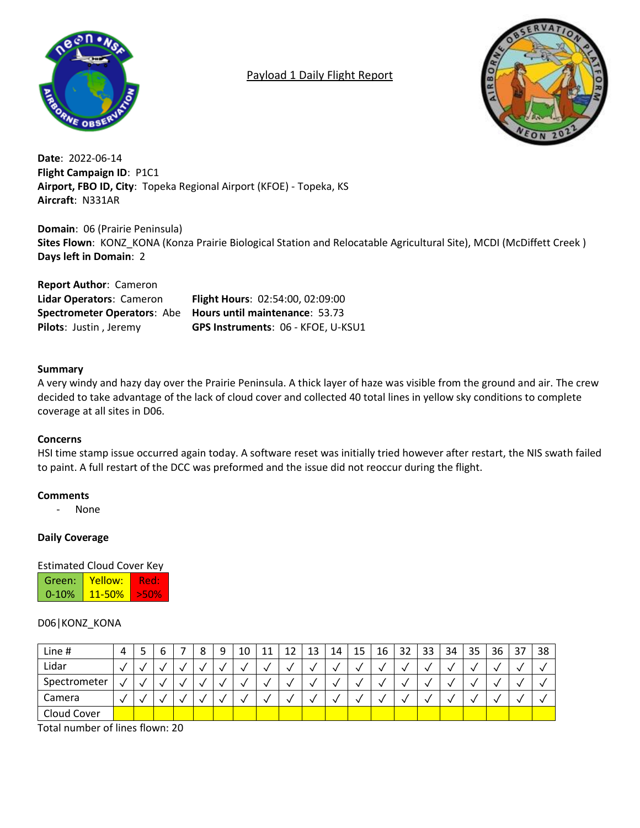

## Payload 1 Daily Flight Report



**Date**: 2022-06-14 **Flight Campaign ID**: P1C1 **Airport, FBO ID, City**: Topeka Regional Airport (KFOE) - Topeka, KS **Aircraft**: N331AR

**Domain**: 06 (Prairie Peninsula) **Sites Flown**: KONZ\_KONA (Konza Prairie Biological Station and Relocatable Agricultural Site), MCDI (McDiffett Creek ) **Days left in Domain**: 2

**Report Author**: Cameron **Lidar Operators**: Cameron **Flight Hours**: 02:54:00, 02:09:00 **Spectrometer Operators**: Abe **Hours until maintenance**: 53.73 **Pilots**: Justin , Jeremy **GPS Instruments**: 06 - KFOE, U-KSU1

### **Summary**

A very windy and hazy day over the Prairie Peninsula. A thick layer of haze was visible from the ground and air. The crew decided to take advantage of the lack of cloud cover and collected 40 total lines in yellow sky conditions to complete coverage at all sites in D06.

### **Concerns**

HSI time stamp issue occurred again today. A software reset was initially tried however after restart, the NIS swath failed to paint. A full restart of the DCC was preformed and the issue did not reoccur during the flight.

### **Comments**

- None

### **Daily Coverage**

### Estimated Cloud Cover Key

| Green:    | Yellow: |  |
|-----------|---------|--|
| $0 - 10%$ | 11-50%  |  |

### D06|KONZ\_KONA

| Line #       | 4            | ٠            | o | o<br>٥ | $\Omega$ | 10 | 11 | 12 | 13 | 14 | 15 | 16 | 32 | 33 | 34 | 35 | 36 | 37 | 38 |
|--------------|--------------|--------------|---|--------|----------|----|----|----|----|----|----|----|----|----|----|----|----|----|----|
| Lidar        | $\checkmark$ | $\mathbf{v}$ | v |        |          |    |    |    |    |    |    |    |    |    |    |    |    |    |    |
| Spectrometer | $\lambda$    |              |   |        |          |    |    |    |    |    |    |    |    |    |    |    |    |    |    |
| Camera       | $\sqrt{}$    |              | 丷 |        |          |    |    |    |    |    |    |    |    |    |    |    |    |    |    |
| Cloud Cover  |              |              |   |        |          |    |    |    |    |    |    |    |    |    |    |    |    |    |    |

Total number of lines flown: 20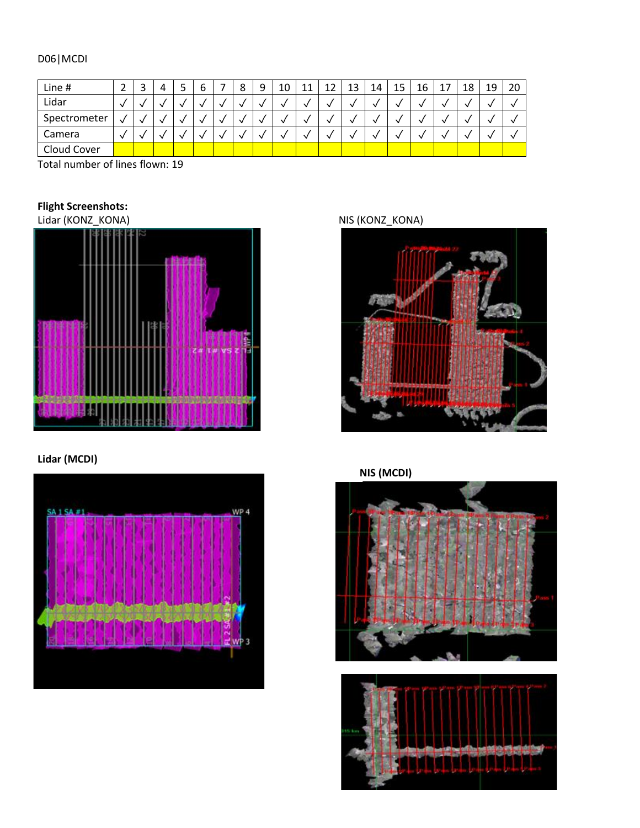## D06|MCDI

| Line #       | ▵ | ٮ | ر | ь | 8 | 9 | 10 | 11 | 12 | 13 | 14 | 15 | 16 | 18 | 19 | 20 |
|--------------|---|---|---|---|---|---|----|----|----|----|----|----|----|----|----|----|
| Lidar        |   |   |   |   |   | ↘ |    |    |    |    |    |    |    |    |    |    |
| Spectrometer |   |   |   |   |   | 丷 |    |    |    |    |    |    |    |    |    |    |
| Camera       |   |   |   |   |   |   |    |    |    |    |    |    |    |    |    |    |
| Cloud Cover  |   |   |   |   |   |   |    |    |    |    |    |    |    |    |    |    |

Total number of lines flown: 19

# **Flight Screenshots:**

Lidar (KONZ\_KONA) NIS (KONZ\_KONA)



## **Lidar (MCDI)**





# **NIS (MCDI)**



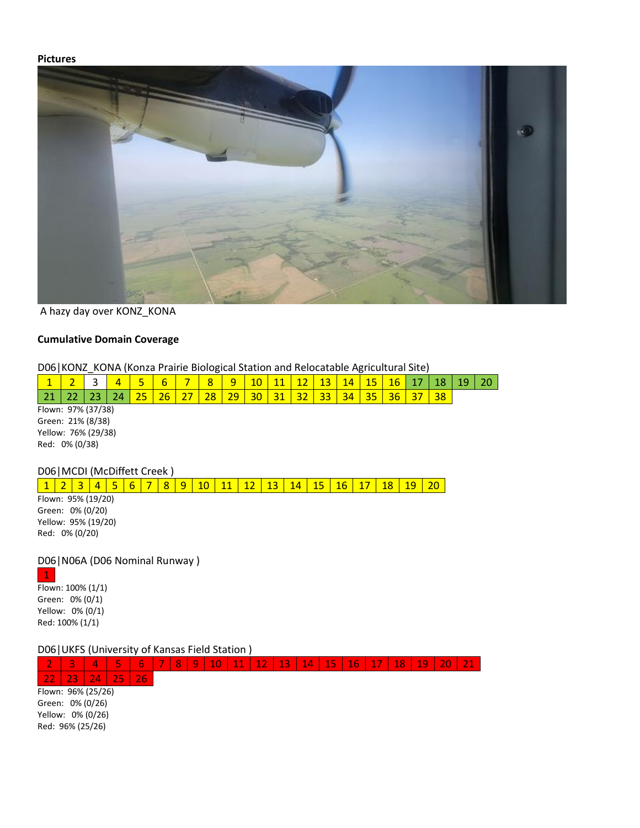### **Pictures**



A hazy day over KONZ\_KONA

## **Cumulative Domain Coverage**

D06|KONZ\_KONA (Konza Prairie Biological Station and Relocatable Agricultural Site)

<u>1 | 2 | 3 | 4 | 5 | 6 | 7 | 8 | 9 | 10 | 11 | 12 | 13 | 14 | 15 | 16 | 17 | 18 | 19 | 20</u>

| 1                  |                              |    | 4  | ς  | 6  |    | 8  | 9  | 10 |    | 12 | 13 | 14 | 15 | 16 | 17 | 187 | 19 |  |
|--------------------|------------------------------|----|----|----|----|----|----|----|----|----|----|----|----|----|----|----|-----|----|--|
|                    | 22                           | 23 | 24 | 25 | 26 | 27 | 28 | 29 | 30 | 31 | 32 | 33 | 34 | 35 | 36 | 37 | 38  |    |  |
| Flown: 97% (37/38) |                              |    |    |    |    |    |    |    |    |    |    |    |    |    |    |    |     |    |  |
|                    | Green: 21% (8/38)            |    |    |    |    |    |    |    |    |    |    |    |    |    |    |    |     |    |  |
|                    | Yellow: 76% (29/38)          |    |    |    |    |    |    |    |    |    |    |    |    |    |    |    |     |    |  |
| Red: 0% (0/38)     |                              |    |    |    |    |    |    |    |    |    |    |    |    |    |    |    |     |    |  |
|                    |                              |    |    |    |    |    |    |    |    |    |    |    |    |    |    |    |     |    |  |
|                    | D06   MCDI (McDiffett Creek) |    |    |    |    |    |    |    |    |    |    |    |    |    |    |    |     |    |  |

Flown: 95% (19/20) Green: 0% (0/20) Yellow: 95% (19/20) Red: 0% (0/20)

D06|N06A (D06 Nominal Runway )

1 Flown: 100% (1/1) Green: 0% (0/1) Yellow: 0% (0/1) Red: 100% (1/1)

D06|UKFS (University of Kansas Field Station )

|                    | 3                | Δ, | <b>The Second Service</b> | b   | - | R. | $\overline{Q}$ | 10 | 11 | 12<br>-- | 13' | 14 | 15 | 16 | 18 | 19 | 20 |  |
|--------------------|------------------|----|---------------------------|-----|---|----|----------------|----|----|----------|-----|----|----|----|----|----|----|--|
|                    | 23               | 74 | Е                         | 26' |   |    |                |    |    |          |     |    |    |    |    |    |    |  |
| Flown: 96% (25/26) |                  |    |                           |     |   |    |                |    |    |          |     |    |    |    |    |    |    |  |
|                    | Green: 0% (0/26) |    |                           |     |   |    |                |    |    |          |     |    |    |    |    |    |    |  |
| Yellow: 0% (0/26)  |                  |    |                           |     |   |    |                |    |    |          |     |    |    |    |    |    |    |  |
|                    | Red: 96% (25/26) |    |                           |     |   |    |                |    |    |          |     |    |    |    |    |    |    |  |
|                    |                  |    |                           |     |   |    |                |    |    |          |     |    |    |    |    |    |    |  |